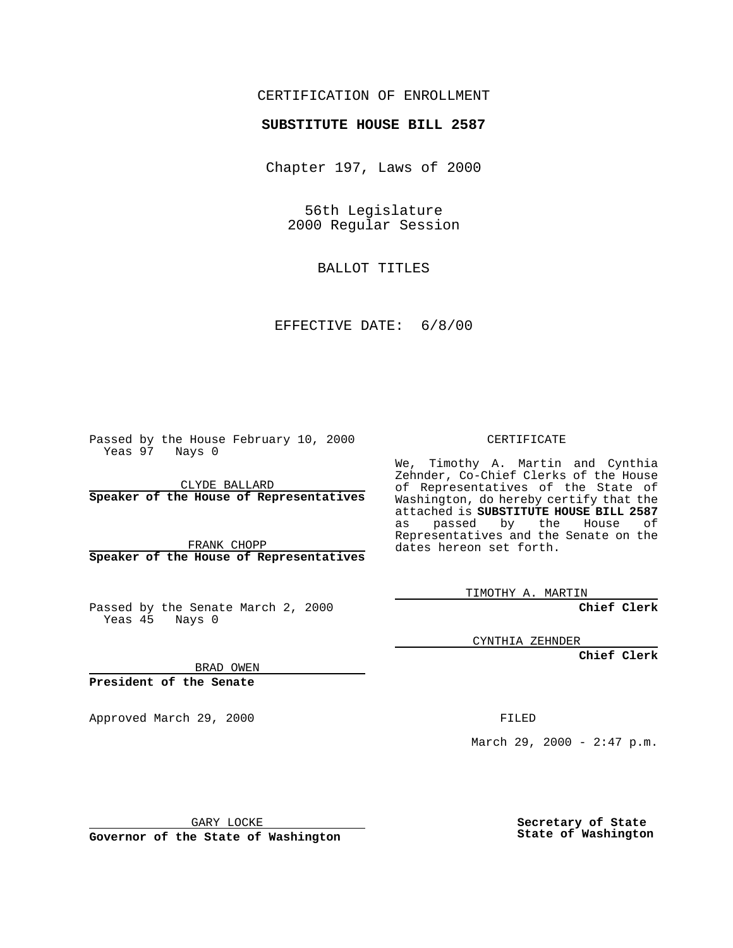#### CERTIFICATION OF ENROLLMENT

## **SUBSTITUTE HOUSE BILL 2587**

Chapter 197, Laws of 2000

56th Legislature 2000 Regular Session

BALLOT TITLES

EFFECTIVE DATE: 6/8/00

Passed by the House February 10, 2000 Yeas 97 Nays 0

CLYDE BALLARD **Speaker of the House of Representatives**

FRANK CHOPP **Speaker of the House of Representatives**

Passed by the Senate March 2, 2000 Yeas 45 Nays 0

CERTIFICATE

We, Timothy A. Martin and Cynthia Zehnder, Co-Chief Clerks of the House of Representatives of the State of Washington, do hereby certify that the attached is **SUBSTITUTE HOUSE BILL 2587** as passed by the House of Representatives and the Senate on the dates hereon set forth.

TIMOTHY A. MARTIN

**Chief Clerk**

CYNTHIA ZEHNDER

**Chief Clerk**

BRAD OWEN

**President of the Senate**

Approved March 29, 2000 FILED

March 29, 2000 - 2:47 p.m.

GARY LOCKE

**Governor of the State of Washington**

**Secretary of State State of Washington**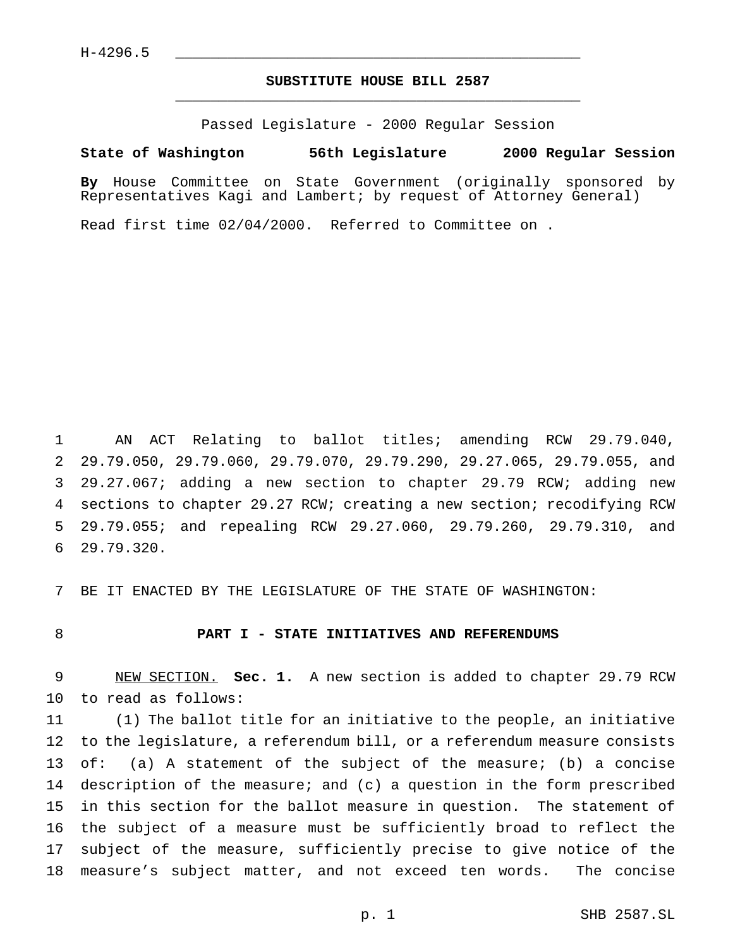### **SUBSTITUTE HOUSE BILL 2587** \_\_\_\_\_\_\_\_\_\_\_\_\_\_\_\_\_\_\_\_\_\_\_\_\_\_\_\_\_\_\_\_\_\_\_\_\_\_\_\_\_\_\_\_\_\_\_

Passed Legislature - 2000 Regular Session

**State of Washington 56th Legislature 2000 Regular Session**

**By** House Committee on State Government (originally sponsored by Representatives Kagi and Lambert; by request of Attorney General)

Read first time 02/04/2000. Referred to Committee on .

 AN ACT Relating to ballot titles; amending RCW 29.79.040, 29.79.050, 29.79.060, 29.79.070, 29.79.290, 29.27.065, 29.79.055, and 29.27.067; adding a new section to chapter 29.79 RCW; adding new sections to chapter 29.27 RCW; creating a new section; recodifying RCW 29.79.055; and repealing RCW 29.27.060, 29.79.260, 29.79.310, and 29.79.320.

BE IT ENACTED BY THE LEGISLATURE OF THE STATE OF WASHINGTON:

#### **PART I - STATE INITIATIVES AND REFERENDUMS**

 NEW SECTION. **Sec. 1.** A new section is added to chapter 29.79 RCW to read as follows:

 (1) The ballot title for an initiative to the people, an initiative to the legislature, a referendum bill, or a referendum measure consists of: (a) A statement of the subject of the measure; (b) a concise description of the measure; and (c) a question in the form prescribed in this section for the ballot measure in question. The statement of the subject of a measure must be sufficiently broad to reflect the subject of the measure, sufficiently precise to give notice of the measure's subject matter, and not exceed ten words. The concise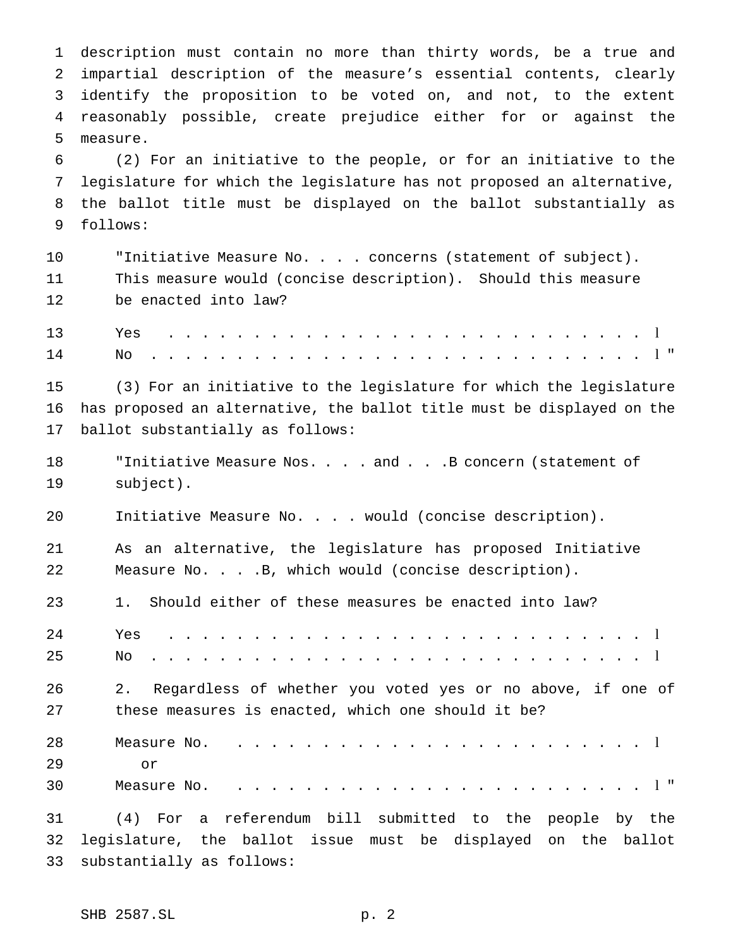description must contain no more than thirty words, be a true and impartial description of the measure's essential contents, clearly identify the proposition to be voted on, and not, to the extent reasonably possible, create prejudice either for or against the measure. (2) For an initiative to the people, or for an initiative to the legislature for which the legislature has not proposed an alternative, the ballot title must be displayed on the ballot substantially as follows: "Initiative Measure No. . . . concerns (statement of subject). This measure would (concise description). Should this measure be enacted into law? Yes . . . . . . . . . . . . . . . . . . . . . . . . . . . . l No . . . . . . . . . . . . . . . . . . . . . . . . . . . . . l " (3) For an initiative to the legislature for which the legislature has proposed an alternative, the ballot title must be displayed on the ballot substantially as follows: 18 Tinitiative Measure Nos. . . . and . . . B concern (statement of subject). Initiative Measure No.... would (concise description). As an alternative, the legislature has proposed Initiative Measure No. . . .B, which would (concise description). 1. Should either of these measures be enacted into law? Yes . . . . . . . . . . . . . . . . . . . . . . . . . . . . l No . . . . . . . . . . . . . . . . . . . . . . . . . . . . . l 2. Regardless of whether you voted yes or no above, if one of these measures is enacted, which one should it be? Measure No. ........................ l or Measure No. ........................ l " (4) For a referendum bill submitted to the people by the

 legislature, the ballot issue must be displayed on the ballot substantially as follows: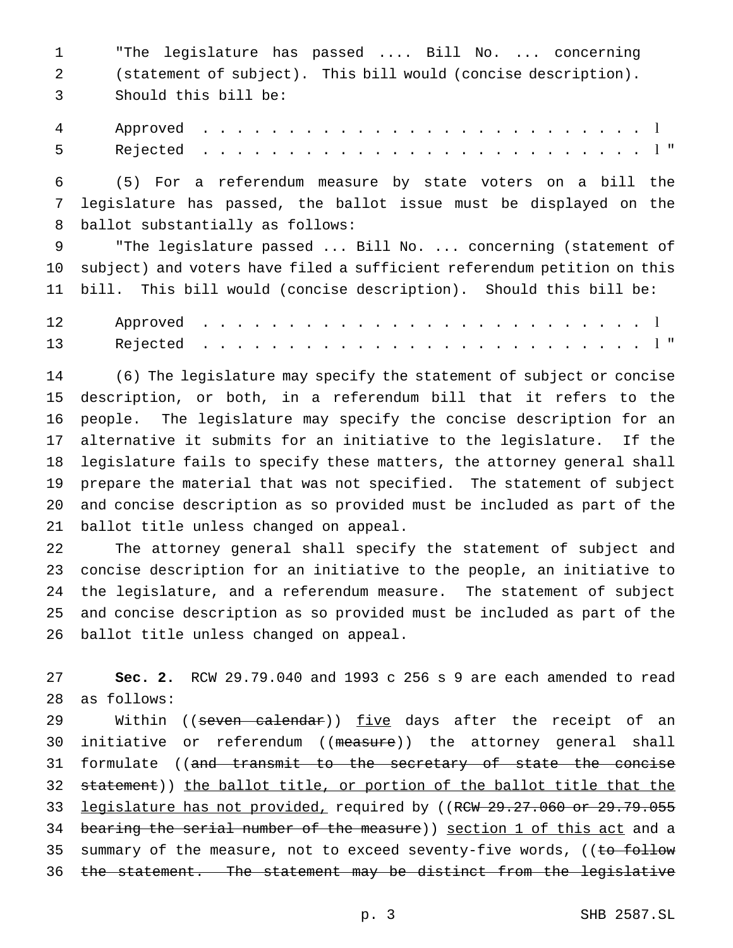"The legislature has passed .... Bill No. ... concerning (statement of subject). This bill would (concise description). Should this bill be: Approved .......................... l Rejected .......................... l " (5) For a referendum measure by state voters on a bill the

 legislature has passed, the ballot issue must be displayed on the ballot substantially as follows:

 "The legislature passed ... Bill No. ... concerning (statement of subject) and voters have filed a sufficient referendum petition on this bill. This bill would (concise description). Should this bill be:

 (6) The legislature may specify the statement of subject or concise description, or both, in a referendum bill that it refers to the people. The legislature may specify the concise description for an alternative it submits for an initiative to the legislature. If the legislature fails to specify these matters, the attorney general shall prepare the material that was not specified. The statement of subject and concise description as so provided must be included as part of the ballot title unless changed on appeal.

 The attorney general shall specify the statement of subject and concise description for an initiative to the people, an initiative to the legislature, and a referendum measure. The statement of subject and concise description as so provided must be included as part of the ballot title unless changed on appeal.

 **Sec. 2.** RCW 29.79.040 and 1993 c 256 s 9 are each amended to read as follows:

29 Within ((seven calendar)) five days after the receipt of an 30 initiative or referendum ((measure)) the attorney general shall 31 formulate ((and transmit to the secretary of state the concise 32 statement)) the ballot title, or portion of the ballot title that the 33 legislature has not provided, required by ((RCW 29.27.060 or 29.79.055 34 bearing the serial number of the measure)) section 1 of this act and a 35 summary of the measure, not to exceed seventy-five words, ((to follow 36 the statement. The statement may be distinct from the legislative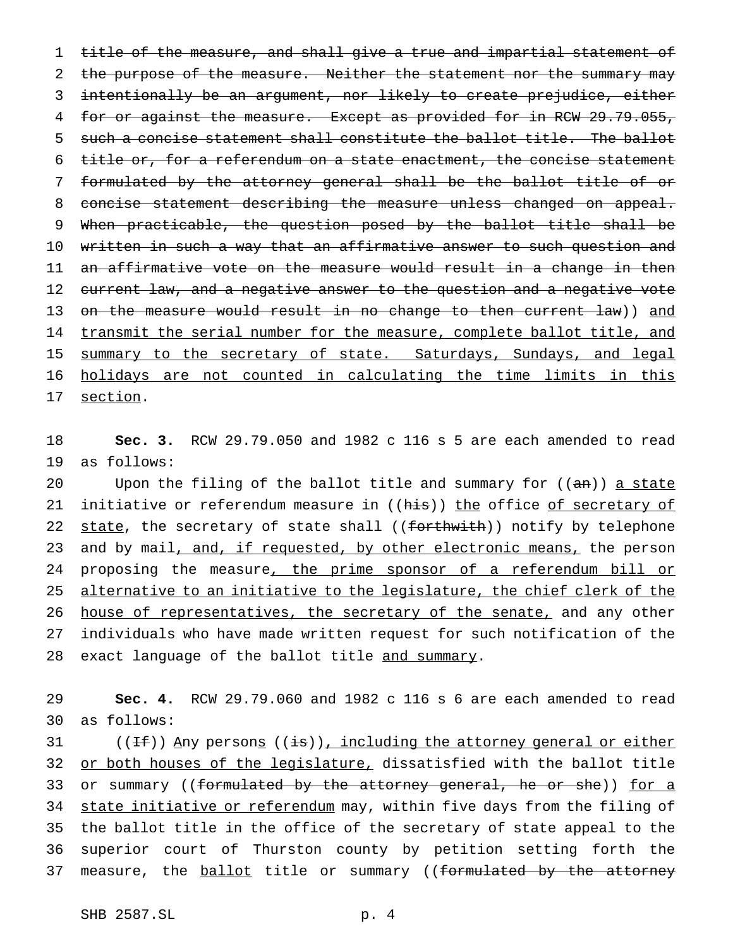1 title of the measure, and shall give a true and impartial statement of 2 the purpose of the measure. Neither the statement nor the summary may 3 intentionally be an argument, nor likely to create prejudice, either 4 for or against the measure. Except as provided for in RCW 29.79.055, 5 such a concise statement shall constitute the ballot title. The ballot 6 title or, for a referendum on a state enactment, the concise statement 7 formulated by the attorney general shall be the ballot title of or 8 concise statement describing the measure unless changed on appeal. 9 When practicable, the question posed by the ballot title shall be 10 written in such a way that an affirmative answer to such question and 11 an affirmative vote on the measure would result in a change in then 12 current law, and a negative answer to the question and a negative vote 13 on the measure would result in no change to then current law)) and 14 transmit the serial number for the measure, complete ballot title, and 15 summary to the secretary of state. Saturdays, Sundays, and legal 16 holidays are not counted in calculating the time limits in this 17 section.

18 **Sec. 3.** RCW 29.79.050 and 1982 c 116 s 5 are each amended to read 19 as follows:

20 Upon the filing of the ballot title and summary for  $((an))$  a state 21 initiative or referendum measure in ((his)) the office of secretary of 22 state, the secretary of state shall ((forthwith)) notify by telephone 23 and by mail, and, if requested, by other electronic means, the person 24 proposing the measure, the prime sponsor of a referendum bill or 25 alternative to an initiative to the legislature, the chief clerk of the 26 house of representatives, the secretary of the senate, and any other 27 individuals who have made written request for such notification of the 28 exact language of the ballot title and summary.

29 **Sec. 4.** RCW 29.79.060 and 1982 c 116 s 6 are each amended to read 30 as follows:

31 ( $(Hf)$ ) Any persons ((is)), including the attorney general or either 32 or both houses of the legislature, dissatisfied with the ballot title 33 or summary ((formulated by the attorney general, he or she)) for a 34 state initiative or referendum may, within five days from the filing of 35 the ballot title in the office of the secretary of state appeal to the 36 superior court of Thurston county by petition setting forth the 37 measure, the ballot title or summary ((formulated by the attorney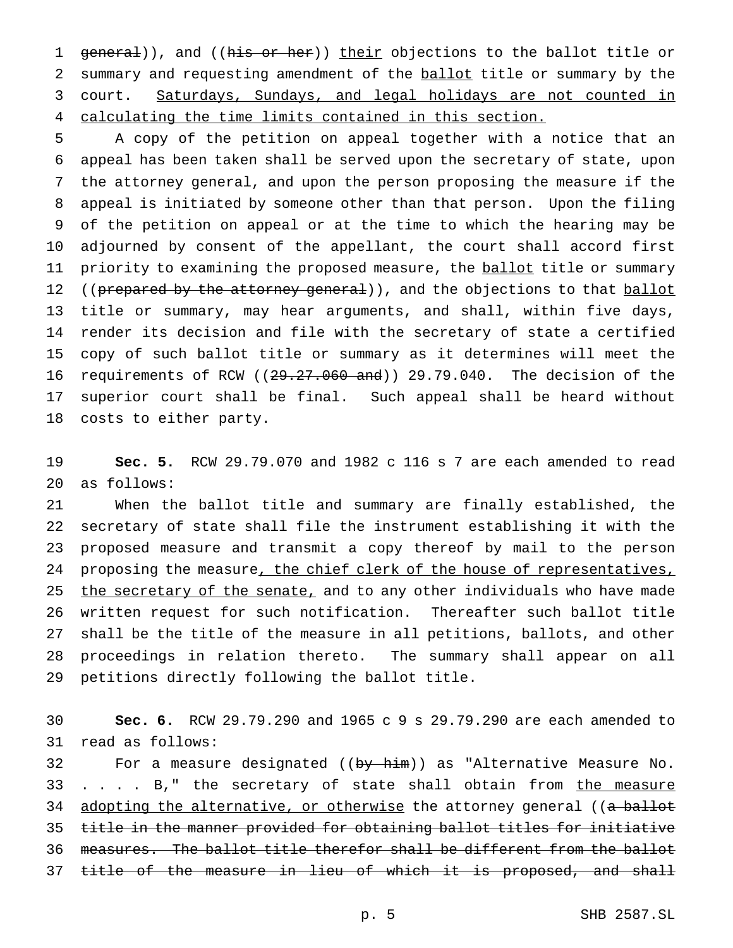1 general)), and ((his or her)) their objections to the ballot title or 2 summary and requesting amendment of the ballot title or summary by the court. Saturdays, Sundays, and legal holidays are not counted in calculating the time limits contained in this section.

 A copy of the petition on appeal together with a notice that an appeal has been taken shall be served upon the secretary of state, upon the attorney general, and upon the person proposing the measure if the appeal is initiated by someone other than that person. Upon the filing of the petition on appeal or at the time to which the hearing may be adjourned by consent of the appellant, the court shall accord first 11 priority to examining the proposed measure, the ballot title or summary 12 ((prepared by the attorney general)), and the objections to that ballot title or summary, may hear arguments, and shall, within five days, render its decision and file with the secretary of state a certified copy of such ballot title or summary as it determines will meet the 16 requirements of RCW ((29.27.060 and)) 29.79.040. The decision of the superior court shall be final. Such appeal shall be heard without costs to either party.

 **Sec. 5.** RCW 29.79.070 and 1982 c 116 s 7 are each amended to read as follows:

 When the ballot title and summary are finally established, the secretary of state shall file the instrument establishing it with the proposed measure and transmit a copy thereof by mail to the person 24 proposing the measure, the chief clerk of the house of representatives, 25 the secretary of the senate, and to any other individuals who have made written request for such notification. Thereafter such ballot title shall be the title of the measure in all petitions, ballots, and other proceedings in relation thereto. The summary shall appear on all petitions directly following the ballot title.

 **Sec. 6.** RCW 29.79.290 and 1965 c 9 s 29.79.290 are each amended to read as follows:

32 For a measure designated ((by him)) as "Alternative Measure No. 33 . . . . B," the secretary of state shall obtain from the measure 34 adopting the alternative, or otherwise the attorney general ((a ballot title in the manner provided for obtaining ballot titles for initiative measures. The ballot title therefor shall be different from the ballot 37 title of the measure in lieu of which it is proposed, and shall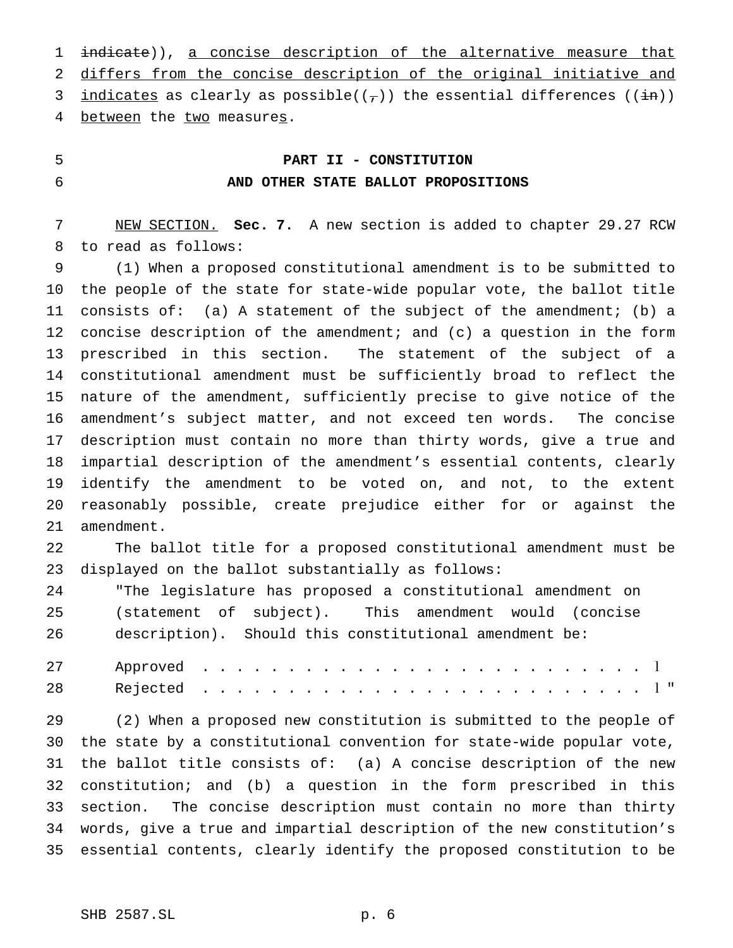1 indicate)), a concise description of the alternative measure that 2 differs from the concise description of the original initiative and 3 <u>indicates</u> as clearly as possible( $(\tau)$ ) the essential differences ( $(i\text{in})$ ) 4 between the two measures.

# **PART II - CONSTITUTION AND OTHER STATE BALLOT PROPOSITIONS**

 NEW SECTION. **Sec. 7.** A new section is added to chapter 29.27 RCW to read as follows:

 (1) When a proposed constitutional amendment is to be submitted to the people of the state for state-wide popular vote, the ballot title consists of: (a) A statement of the subject of the amendment; (b) a concise description of the amendment; and (c) a question in the form prescribed in this section. The statement of the subject of a constitutional amendment must be sufficiently broad to reflect the nature of the amendment, sufficiently precise to give notice of the amendment's subject matter, and not exceed ten words. The concise description must contain no more than thirty words, give a true and impartial description of the amendment's essential contents, clearly identify the amendment to be voted on, and not, to the extent reasonably possible, create prejudice either for or against the amendment.

 The ballot title for a proposed constitutional amendment must be displayed on the ballot substantially as follows:

 "The legislature has proposed a constitutional amendment on (statement of subject). This amendment would (concise description). Should this constitutional amendment be:

 (2) When a proposed new constitution is submitted to the people of the state by a constitutional convention for state-wide popular vote, the ballot title consists of: (a) A concise description of the new constitution; and (b) a question in the form prescribed in this section. The concise description must contain no more than thirty words, give a true and impartial description of the new constitution's essential contents, clearly identify the proposed constitution to be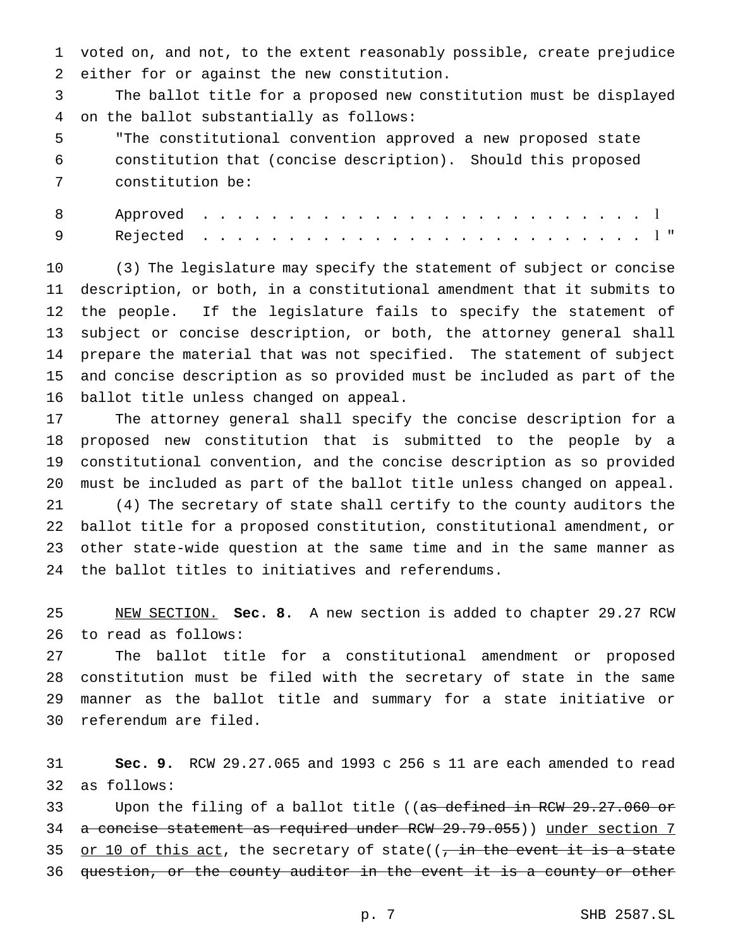voted on, and not, to the extent reasonably possible, create prejudice either for or against the new constitution.

 The ballot title for a proposed new constitution must be displayed on the ballot substantially as follows:

 "The constitutional convention approved a new proposed state constitution that (concise description). Should this proposed constitution be:

 (3) The legislature may specify the statement of subject or concise description, or both, in a constitutional amendment that it submits to the people. If the legislature fails to specify the statement of subject or concise description, or both, the attorney general shall prepare the material that was not specified. The statement of subject and concise description as so provided must be included as part of the ballot title unless changed on appeal.

 The attorney general shall specify the concise description for a proposed new constitution that is submitted to the people by a constitutional convention, and the concise description as so provided must be included as part of the ballot title unless changed on appeal. (4) The secretary of state shall certify to the county auditors the ballot title for a proposed constitution, constitutional amendment, or other state-wide question at the same time and in the same manner as the ballot titles to initiatives and referendums.

 NEW SECTION. **Sec. 8.** A new section is added to chapter 29.27 RCW to read as follows:

 The ballot title for a constitutional amendment or proposed constitution must be filed with the secretary of state in the same manner as the ballot title and summary for a state initiative or referendum are filed.

 **Sec. 9.** RCW 29.27.065 and 1993 c 256 s 11 are each amended to read as follows:

33 Upon the filing of a ballot title ((as defined in RCW 29.27.060 or 34 a concise statement as required under RCW 29.79.055)) under section 7 35 or 10 of this act, the secretary of state( $\frac{1}{1}$  the event it is a state question, or the county auditor in the event it is a county or other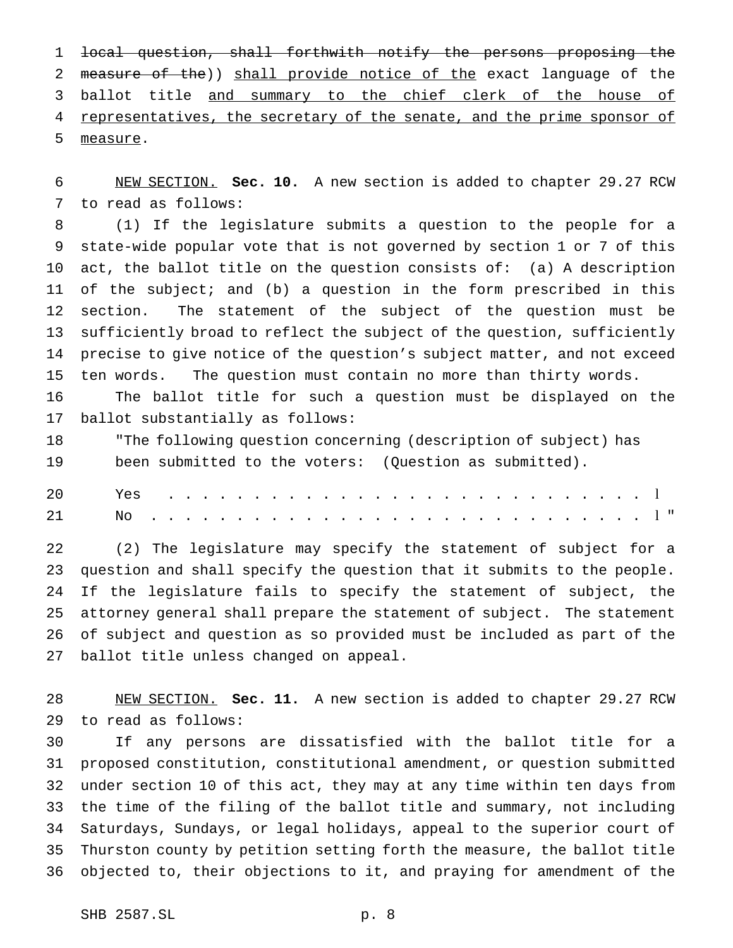local question, shall forthwith notify the persons proposing the 2 measure of the)) shall provide notice of the exact language of the 3 ballot title and summary to the chief clerk of the house of 4 representatives, the secretary of the senate, and the prime sponsor of measure.

 NEW SECTION. **Sec. 10.** A new section is added to chapter 29.27 RCW to read as follows:

 (1) If the legislature submits a question to the people for a state-wide popular vote that is not governed by section 1 or 7 of this act, the ballot title on the question consists of: (a) A description of the subject; and (b) a question in the form prescribed in this section. The statement of the subject of the question must be sufficiently broad to reflect the subject of the question, sufficiently precise to give notice of the question's subject matter, and not exceed ten words. The question must contain no more than thirty words.

 The ballot title for such a question must be displayed on the ballot substantially as follows:

 "The following question concerning (description of subject) has been submitted to the voters: (Question as submitted).

| 20 |  |  |  |  |  |  |  |  |  |  |  |  |  |  |  |  |
|----|--|--|--|--|--|--|--|--|--|--|--|--|--|--|--|--|
| 21 |  |  |  |  |  |  |  |  |  |  |  |  |  |  |  |  |

 (2) The legislature may specify the statement of subject for a question and shall specify the question that it submits to the people. If the legislature fails to specify the statement of subject, the attorney general shall prepare the statement of subject. The statement of subject and question as so provided must be included as part of the ballot title unless changed on appeal.

 NEW SECTION. **Sec. 11.** A new section is added to chapter 29.27 RCW to read as follows:

 If any persons are dissatisfied with the ballot title for a proposed constitution, constitutional amendment, or question submitted under section 10 of this act, they may at any time within ten days from the time of the filing of the ballot title and summary, not including Saturdays, Sundays, or legal holidays, appeal to the superior court of Thurston county by petition setting forth the measure, the ballot title objected to, their objections to it, and praying for amendment of the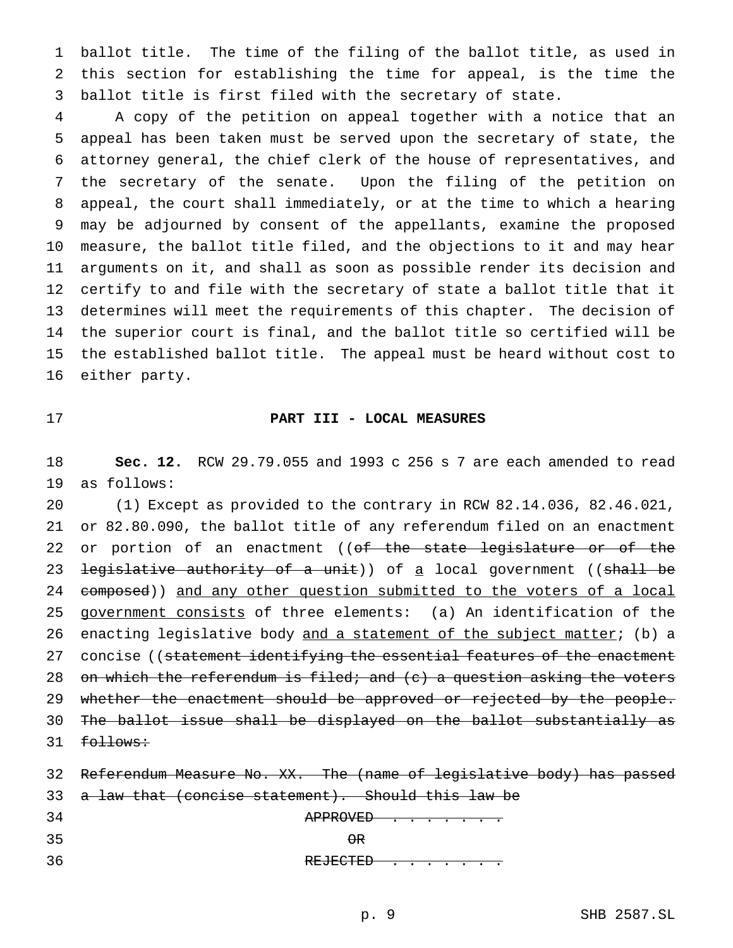ballot title. The time of the filing of the ballot title, as used in this section for establishing the time for appeal, is the time the ballot title is first filed with the secretary of state.

 A copy of the petition on appeal together with a notice that an appeal has been taken must be served upon the secretary of state, the attorney general, the chief clerk of the house of representatives, and the secretary of the senate. Upon the filing of the petition on appeal, the court shall immediately, or at the time to which a hearing may be adjourned by consent of the appellants, examine the proposed measure, the ballot title filed, and the objections to it and may hear arguments on it, and shall as soon as possible render its decision and certify to and file with the secretary of state a ballot title that it determines will meet the requirements of this chapter. The decision of the superior court is final, and the ballot title so certified will be the established ballot title. The appeal must be heard without cost to either party.

#### **PART III - LOCAL MEASURES**

 **Sec. 12.** RCW 29.79.055 and 1993 c 256 s 7 are each amended to read as follows:

 (1) Except as provided to the contrary in RCW 82.14.036, 82.46.021, or 82.80.090, the ballot title of any referendum filed on an enactment 22 or portion of an enactment ((of the state legislature or of the 23 <del>legislative authority of a unit</del>)) of <u>a</u> local government ((shall be 24 composed)) and any other question submitted to the voters of a local government consists of three elements: (a) An identification of the 26 enacting legislative body and a statement of the subject matter; (b) a 27 concise ((statement identifying the essential features of the enactment 28 on which the referendum is filed; and  $(c)$  a question asking the voters 29 whether the enactment should be approved or rejected by the people. The ballot issue shall be displayed on the ballot substantially as 31 follows:

|    | 32 Referendum Measure No. XX. The (name of legislative body) has passed |
|----|-------------------------------------------------------------------------|
|    | 33 a law that (concise statement). Should this law be                   |
| 34 | APPROVED                                                                |
| 35 | $\Theta$ R                                                              |
| 36 | REJECTED                                                                |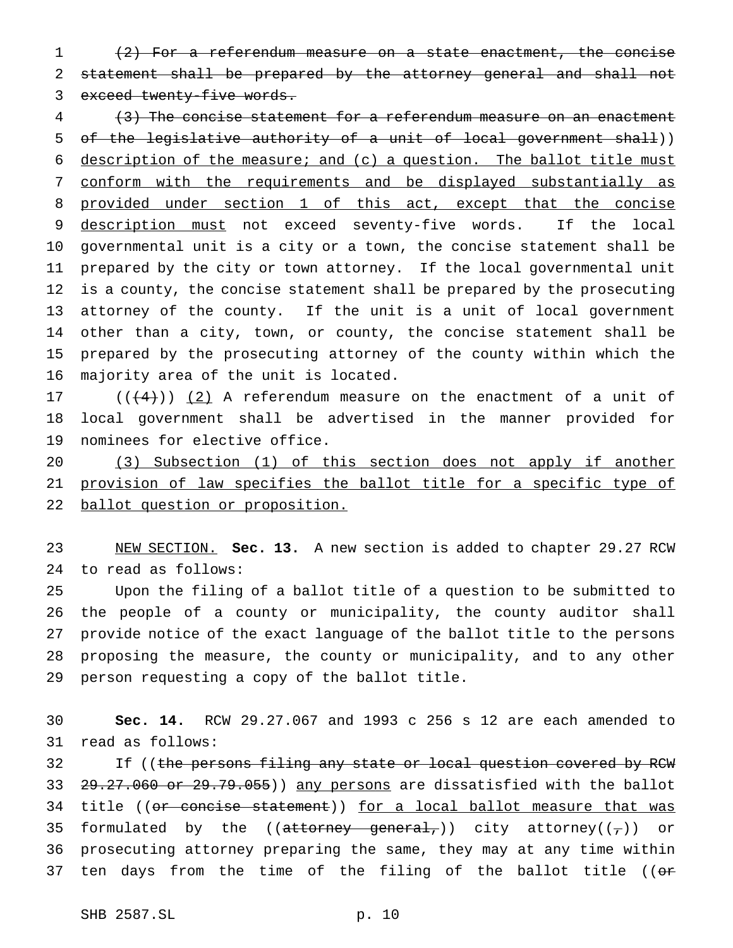(2) For a referendum measure on a state enactment, the concise statement shall be prepared by the attorney general and shall not 3 exceed twenty-five words.

 (3) The concise statement for a referendum measure on an enactment 5 of the legislative authority of a unit of local government shall)) description of the measure; and (c) a question. The ballot title must conform with the requirements and be displayed substantially as 8 provided under section 1 of this act, except that the concise 9 description must not exceed seventy-five words. If the local governmental unit is a city or a town, the concise statement shall be prepared by the city or town attorney. If the local governmental unit is a county, the concise statement shall be prepared by the prosecuting attorney of the county. If the unit is a unit of local government other than a city, town, or county, the concise statement shall be prepared by the prosecuting attorney of the county within which the majority area of the unit is located.

 $((+4))$   $(2)$  A referendum measure on the enactment of a unit of local government shall be advertised in the manner provided for nominees for elective office.

 (3) Subsection (1) of this section does not apply if another 21 provision of law specifies the ballot title for a specific type of ballot question or proposition.

 NEW SECTION. **Sec. 13.** A new section is added to chapter 29.27 RCW to read as follows:

 Upon the filing of a ballot title of a question to be submitted to the people of a county or municipality, the county auditor shall provide notice of the exact language of the ballot title to the persons proposing the measure, the county or municipality, and to any other person requesting a copy of the ballot title.

 **Sec. 14.** RCW 29.27.067 and 1993 c 256 s 12 are each amended to read as follows:

32 If ((the persons filing any state or local question covered by RCW 33 29.27.060 or 29.79.055)) any persons are dissatisfied with the ballot 34 title ((or concise statement)) for a local ballot measure that was 35 formulated by the (( $at$ torney general,)) city attorney( $(\tau)$ ) or prosecuting attorney preparing the same, they may at any time within 37 ten days from the time of the filing of the ballot title (( $\sigma$ r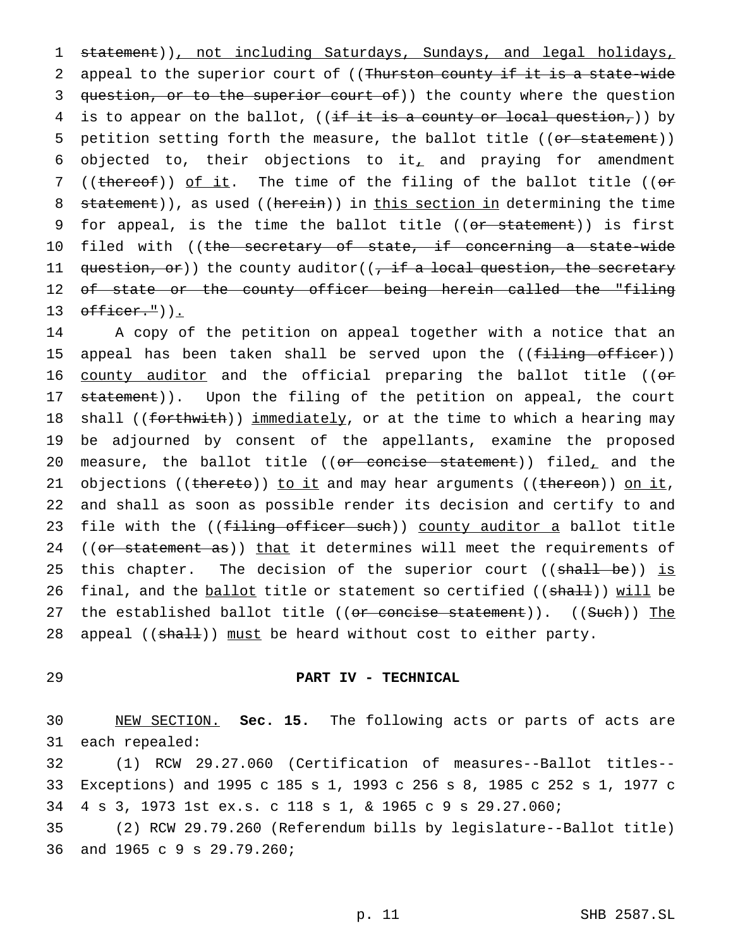1 statement)), not including Saturdays, Sundays, and legal holidays, 2 appeal to the superior court of ((Thurston county if it is a state-wide 3 question, or to the superior court of)) the county where the question 4 is to appear on the ballot, (( $\frac{if}{it}$  it is a county or local question,)) by 5 petition setting forth the measure, the ballot title ((or statement)) 6 objected to, their objections to it<sub> $<sub>L</sub>$  and praying for amendment</sub></sub> 7 ((thereof)) of it. The time of the filing of the ballot title ((or 8 statement)), as used ((herein)) in this section in determining the time 9 for appeal, is the time the ballot title ((or statement)) is first 10 filed with ((<del>the secretary of state, if concerning a state-wide</del> 11 question, or)) the county auditor((, if a local question, the secretary 12 of state or the county officer being herein called the "filing 13  $\text{otherwise}$ .")).

14 A copy of the petition on appeal together with a notice that an 15 appeal has been taken shall be served upon the ((filing officer)) 16 county auditor and the official preparing the ballot title ((or 17 statement)). Upon the filing of the petition on appeal, the court 18 shall ((forthwith)) immediately, or at the time to which a hearing may 19 be adjourned by consent of the appellants, examine the proposed 20 measure, the ballot title (( $or$  concise statement)) filed, and the 21 objections ((thereto)) to it and may hear arguments ((thereon)) on it, 22 and shall as soon as possible render its decision and certify to and 23 file with the ((filing officer such)) county auditor a ballot title 24 ((or statement as)) that it determines will meet the requirements of 25 this chapter. The decision of the superior court ((shall be)) is 26 final, and the ballot title or statement so certified ((shall)) will be 27 the established ballot title ((or concise statement)). ((Such)) The 28 appeal ((shall)) must be heard without cost to either party.

## 29 **PART IV - TECHNICAL**

30 NEW SECTION. **Sec. 15.** The following acts or parts of acts are 31 each repealed:

32 (1) RCW 29.27.060 (Certification of measures--Ballot titles-- 33 Exceptions) and 1995 c 185 s 1, 1993 c 256 s 8, 1985 c 252 s 1, 1977 c 34 4 s 3, 1973 1st ex.s. c 118 s 1, & 1965c9s 29.27.060;

35 (2) RCW 29.79.260 (Referendum bills by legislature--Ballot title) 36 and 1965 c 9 s 29.79.260;